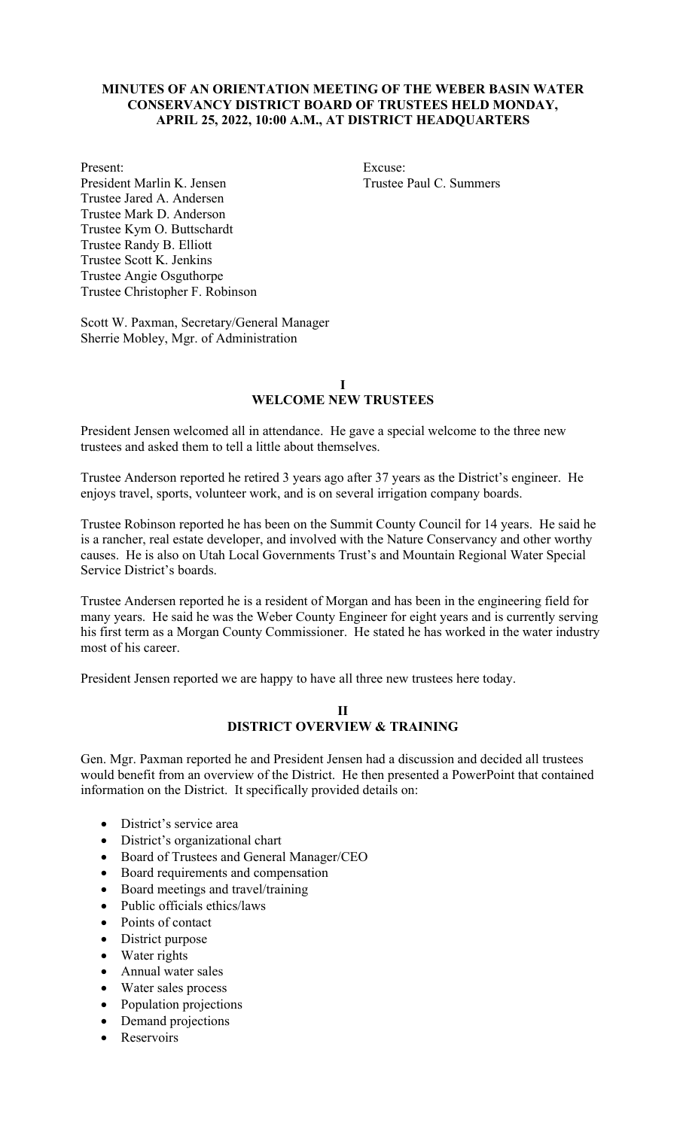### **MINUTES OF AN ORIENTATION MEETING OF THE WEBER BASIN WATER CONSERVANCY DISTRICT BOARD OF TRUSTEES HELD MONDAY, APRIL 25, 2022, 10:00 A.M., AT DISTRICT HEADQUARTERS**

Present: Excuse: President Marlin K. Jensen Trustee Paul C. Summers Trustee Jared A. Andersen Trustee Mark D. Anderson Trustee Kym O. Buttschardt Trustee Randy B. Elliott Trustee Scott K. Jenkins Trustee Angie Osguthorpe Trustee Christopher F. Robinson

Scott W. Paxman, Secretary/General Manager Sherrie Mobley, Mgr. of Administration

#### **I WELCOME NEW TRUSTEES**

President Jensen welcomed all in attendance. He gave a special welcome to the three new trustees and asked them to tell a little about themselves.

Trustee Anderson reported he retired 3 years ago after 37 years as the District's engineer. He enjoys travel, sports, volunteer work, and is on several irrigation company boards.

Trustee Robinson reported he has been on the Summit County Council for 14 years. He said he is a rancher, real estate developer, and involved with the Nature Conservancy and other worthy causes. He is also on Utah Local Governments Trust's and Mountain Regional Water Special Service District's boards.

Trustee Andersen reported he is a resident of Morgan and has been in the engineering field for many years. He said he was the Weber County Engineer for eight years and is currently serving his first term as a Morgan County Commissioner. He stated he has worked in the water industry most of his career.

President Jensen reported we are happy to have all three new trustees here today.

#### **II DISTRICT OVERVIEW & TRAINING**

Gen. Mgr. Paxman reported he and President Jensen had a discussion and decided all trustees would benefit from an overview of the District. He then presented a PowerPoint that contained information on the District. It specifically provided details on:

- District's service area
- District's organizational chart
- Board of Trustees and General Manager/CEO
- Board requirements and compensation
- Board meetings and travel/training
- Public officials ethics/laws
- Points of contact
- District purpose
- Water rights
- Annual water sales
- Water sales process
- Population projections
- Demand projections
- Reservoirs